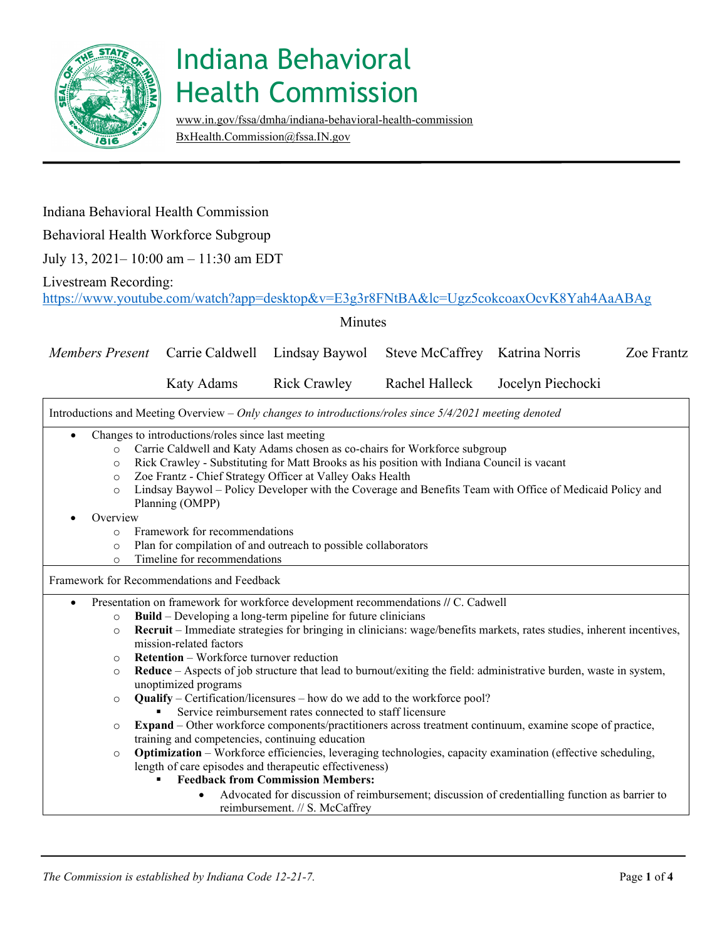

[www.in.gov/fssa/dmha/indiana-behavioral-health-commission](http://www.in.gov/fssa/dmha/indiana-behavioral-health-commission) [BxHealth.Commission@fssa.IN.gov](mailto:BxHealth.Commission@fssa.IN.gov) 

### Indiana Behavioral Health Commission

Behavioral Health Workforce Subgroup

July 13, 2021– 10:00 am – 11:30 am EDT

#### Livestream Recording:

<https://www.youtube.com/watch?app=desktop&v=E3g3r8FNtBA&lc=Ugz5cokcoaxOcvK8Yah4AaABAg>

Minutes

| <b>Members Present</b>                                                                                  |                                                                                            | Carrie Caldwell                                                                                          | Lindsay Baywol                                                | Steve McCaffrey Katrina Norris                                            |                                                                                                                       | Zoe Frantz |  |
|---------------------------------------------------------------------------------------------------------|--------------------------------------------------------------------------------------------|----------------------------------------------------------------------------------------------------------|---------------------------------------------------------------|---------------------------------------------------------------------------|-----------------------------------------------------------------------------------------------------------------------|------------|--|
|                                                                                                         |                                                                                            | <b>Katy Adams</b>                                                                                        | <b>Rick Crawley</b>                                           | Rachel Halleck                                                            | Jocelyn Piechocki                                                                                                     |            |  |
| Introductions and Meeting Overview - Only changes to introductions/roles since 5/4/2021 meeting denoted |                                                                                            |                                                                                                          |                                                               |                                                                           |                                                                                                                       |            |  |
|                                                                                                         |                                                                                            | Changes to introductions/roles since last meeting                                                        |                                                               |                                                                           |                                                                                                                       |            |  |
| $\circ$                                                                                                 |                                                                                            |                                                                                                          |                                                               | Carrie Caldwell and Katy Adams chosen as co-chairs for Workforce subgroup |                                                                                                                       |            |  |
| $\circ$                                                                                                 | Rick Crawley - Substituting for Matt Brooks as his position with Indiana Council is vacant |                                                                                                          |                                                               |                                                                           |                                                                                                                       |            |  |
| $\circ$                                                                                                 |                                                                                            |                                                                                                          | Zoe Frantz - Chief Strategy Officer at Valley Oaks Health     |                                                                           |                                                                                                                       |            |  |
| $\circ$                                                                                                 |                                                                                            | Lindsay Baywol - Policy Developer with the Coverage and Benefits Team with Office of Medicaid Policy and |                                                               |                                                                           |                                                                                                                       |            |  |
|                                                                                                         |                                                                                            | Planning (OMPP)                                                                                          |                                                               |                                                                           |                                                                                                                       |            |  |
| Overview                                                                                                |                                                                                            |                                                                                                          |                                                               |                                                                           |                                                                                                                       |            |  |
| $\circ$                                                                                                 |                                                                                            | Framework for recommendations                                                                            |                                                               |                                                                           |                                                                                                                       |            |  |
| Plan for compilation of and outreach to possible collaborators<br>$\circ$                               |                                                                                            |                                                                                                          |                                                               |                                                                           |                                                                                                                       |            |  |
| $\circ$                                                                                                 | Timeline for recommendations                                                               |                                                                                                          |                                                               |                                                                           |                                                                                                                       |            |  |
| Framework for Recommendations and Feedback                                                              |                                                                                            |                                                                                                          |                                                               |                                                                           |                                                                                                                       |            |  |
| Presentation on framework for workforce development recommendations // C. Cadwell                       |                                                                                            |                                                                                                          |                                                               |                                                                           |                                                                                                                       |            |  |
| $\circ$                                                                                                 |                                                                                            |                                                                                                          | Build – Developing a long-term pipeline for future clinicians |                                                                           |                                                                                                                       |            |  |
| $\circ$                                                                                                 |                                                                                            | mission-related factors                                                                                  |                                                               |                                                                           | Recruit – Immediate strategies for bringing in clinicians: wage/benefits markets, rates studies, inherent incentives, |            |  |
| $\circ$                                                                                                 |                                                                                            | <b>Retention</b> – Workforce turnover reduction                                                          |                                                               |                                                                           |                                                                                                                       |            |  |
| $\circ$                                                                                                 |                                                                                            | unoptimized programs                                                                                     |                                                               |                                                                           | Reduce – Aspects of job structure that lead to burnout/exiting the field: administrative burden, waste in system,     |            |  |
| $\circ$                                                                                                 |                                                                                            |                                                                                                          |                                                               | Qualify – Certification/licensures – how do we add to the workforce pool? |                                                                                                                       |            |  |
|                                                                                                         |                                                                                            |                                                                                                          | Service reimbursement rates connected to staff licensure      |                                                                           |                                                                                                                       |            |  |
| $\circ$                                                                                                 |                                                                                            |                                                                                                          |                                                               |                                                                           | Expand – Other workforce components/practitioners across treatment continuum, examine scope of practice,              |            |  |
|                                                                                                         |                                                                                            | training and competencies, continuing education                                                          |                                                               |                                                                           |                                                                                                                       |            |  |
| $\circ$                                                                                                 |                                                                                            |                                                                                                          |                                                               |                                                                           | <b>Optimization</b> – Workforce efficiencies, leveraging technologies, capacity examination (effective scheduling,    |            |  |
|                                                                                                         |                                                                                            |                                                                                                          | length of care episodes and therapeutic effectiveness)        |                                                                           |                                                                                                                       |            |  |
|                                                                                                         |                                                                                            |                                                                                                          | <b>Feedback from Commission Members:</b>                      |                                                                           |                                                                                                                       |            |  |
|                                                                                                         |                                                                                            |                                                                                                          |                                                               |                                                                           | Advocated for discussion of reimbursement; discussion of credentialling function as barrier to                        |            |  |
|                                                                                                         |                                                                                            |                                                                                                          | reimbursement. // S. McCaffrey                                |                                                                           |                                                                                                                       |            |  |
|                                                                                                         |                                                                                            |                                                                                                          |                                                               |                                                                           |                                                                                                                       |            |  |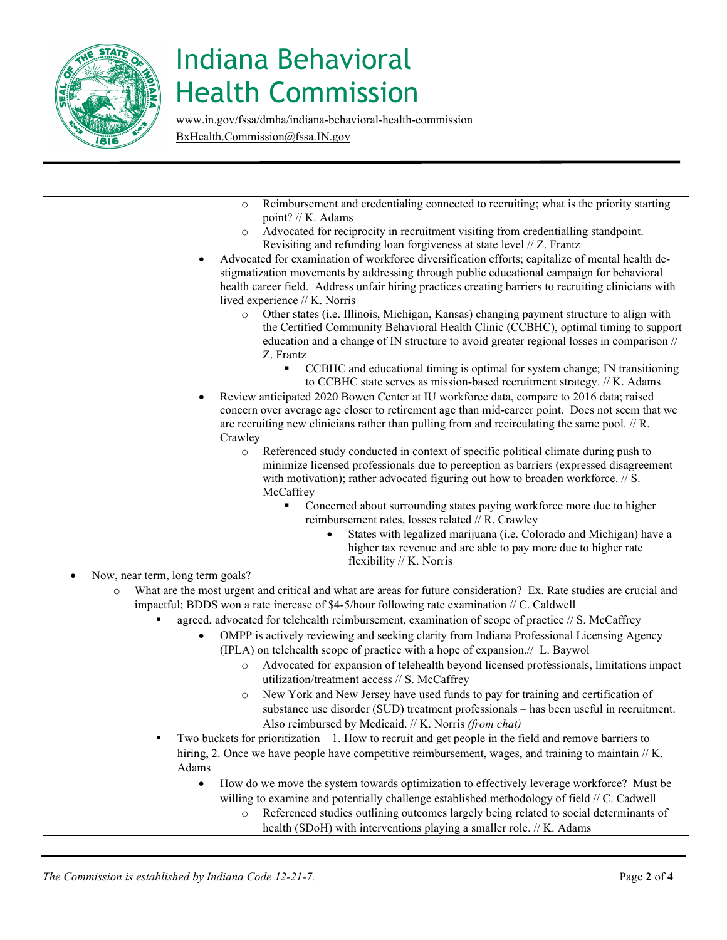

[www.in.gov/fssa/dmha/indiana-behavioral-health-commission](http://www.in.gov/fssa/dmha/indiana-behavioral-health-commission) [BxHealth.Commission@fssa.IN.gov](mailto:BxHealth.Commission@fssa.IN.gov) 

- <sup>o</sup> Advocated for reciprocity in recruitment visiting from credentialling standpoint. Revisiting and refunding loan forgiveness at state level // Z. Frantz Revisiting and refunding loan forgiveness at state level // Z. Frantz • Advocated for examination of workforce diversification efforts; capitalize of mental health de- education and a change of IN structure to avoid greater regional losses in comparison // flexibility // K. Norris **agreed, advocated for telehealth reimbursement, examination of scope of practice // S. McCaffrey**  (IPLA) on telehealth scope of practice with a hope of expansion.// L. Baywol utilization/treatment access // S. McCaffrey substance use disorder (SUD) treatment professionals – has been useful in recruitment. Also reimbursed by Medicaid. // K. Norris *(from chat)*  Also reimbursed by Medicaid. // K. Norris (from chat) Two buckets for prioritization  $-1$ . How to recruit and get people in the field and remove barriers to hiring, 2. Once we have people have competitive reimbursement, wages, and training to maintain // K. o Reimbursement and credentialing connected to recruiting; what is the priority starting point? // K. Adams stigmatization movements by addressing through public educational campaign for behavioral health career field. Address unfair hiring practices creating barriers to recruiting clinicians with lived experience // K. Norris o Other states (i.e. Illinois, Michigan, Kansas) changing payment structure to align with the Certified Community Behavioral Health Clinic (CCBHC), optimal timing to support Z. Frantz CCBHC and educational timing is optimal for system change; IN transitioning to CCBHC state serves as mission-based recruitment strategy. // K. Adams • Review anticipated 2020 Bowen Center at IU workforce data, compare to 2016 data; raised concern over average age closer to retirement age than mid-career point. Does not seem that we are recruiting new clinicians rather than pulling from and recirculating the same pool. // R. Crawley o Referenced study conducted in context of specific political climate during push to minimize licensed professionals due to perception as barriers (expressed disagreement with motivation); rather advocated figuring out how to broaden workforce. // S. **McCaffrey**  Concerned about surrounding states paying workforce more due to higher reimbursement rates, losses related // R. Crawley • States with legalized marijuana (i.e. Colorado and Michigan) have a higher tax revenue and are able to pay more due to higher rate • Now, near term, long term goals? o What are the most urgent and critical and what are areas for future consideration? Ex. Rate studies are crucial and impactful; BDDS won a rate increase of \$4-5/hour following rate examination // C. Caldwell • OMPP is actively reviewing and seeking clarity from Indiana Professional Licensing Agency o Advocated for expansion of telehealth beyond licensed professionals, limitations impact o New York and New Jersey have used funds to pay for training and certification of Adams
	- willing to examine and potentially challenge established methodology of field // C. Cadwell • How do we move the system towards optimization to effectively leverage workforce? Must be
		- o Referenced studies outlining outcomes largely being related to social determinants of health (SDoH) with interventions playing a smaller role. // K. Adams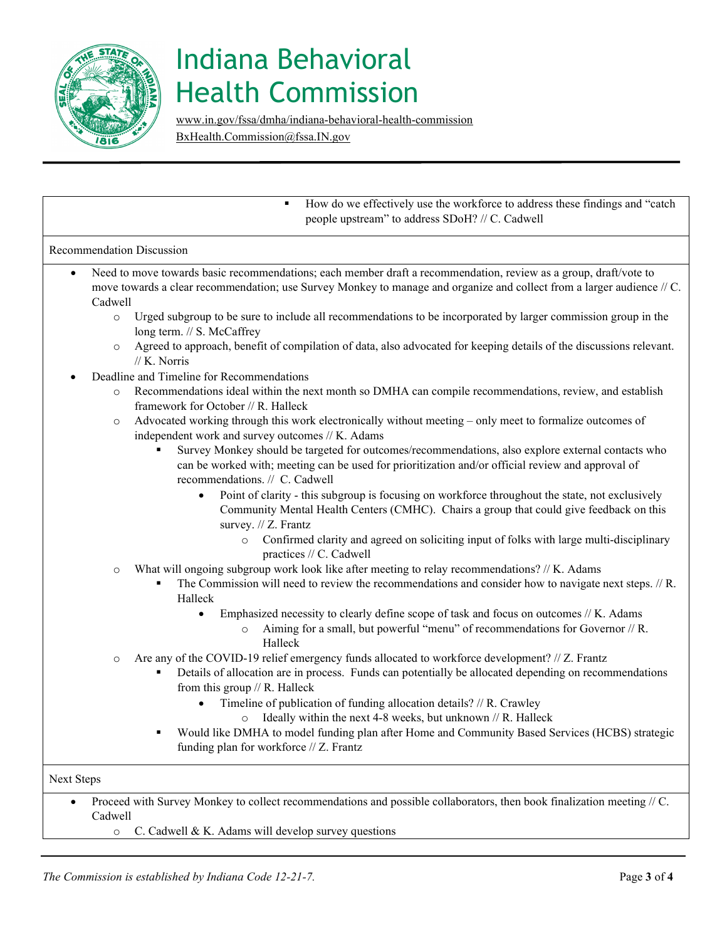

[www.in.gov/fssa/dmha/indiana-behavioral-health-commission](http://www.in.gov/fssa/dmha/indiana-behavioral-health-commission) [BxHealth.Commission@fssa.IN.gov](mailto:BxHealth.Commission@fssa.IN.gov) 

|           |         | How do we effectively use the workforce to address these findings and "catch"<br>people upstream" to address SDoH? // C. Cadwell                                                                                                                                                                                                                                                                                                                                                                                                                                           |
|-----------|---------|----------------------------------------------------------------------------------------------------------------------------------------------------------------------------------------------------------------------------------------------------------------------------------------------------------------------------------------------------------------------------------------------------------------------------------------------------------------------------------------------------------------------------------------------------------------------------|
|           |         | <b>Recommendation Discussion</b>                                                                                                                                                                                                                                                                                                                                                                                                                                                                                                                                           |
| $\bullet$ | Cadwell | Need to move towards basic recommendations; each member draft a recommendation, review as a group, draft/vote to<br>move towards a clear recommendation; use Survey Monkey to manage and organize and collect from a larger audience // C.                                                                                                                                                                                                                                                                                                                                 |
|           | $\circ$ | Urged subgroup to be sure to include all recommendations to be incorporated by larger commission group in the<br>long term. // S. McCaffrey                                                                                                                                                                                                                                                                                                                                                                                                                                |
|           | $\circ$ | Agreed to approach, benefit of compilation of data, also advocated for keeping details of the discussions relevant.<br>// K. Norris                                                                                                                                                                                                                                                                                                                                                                                                                                        |
|           |         | Deadline and Timeline for Recommendations                                                                                                                                                                                                                                                                                                                                                                                                                                                                                                                                  |
|           | $\circ$ | Recommendations ideal within the next month so DMHA can compile recommendations, review, and establish<br>framework for October $//$ R. Halleck                                                                                                                                                                                                                                                                                                                                                                                                                            |
|           | $\circ$ | Advocated working through this work electronically without meeting – only meet to formalize outcomes of<br>independent work and survey outcomes // K. Adams<br>$\blacksquare$ 0. $\blacksquare$ 1. $\blacksquare$ 1. $\blacksquare$ 1. $\blacksquare$ 1. $\blacksquare$ 1. $\blacksquare$ 1. $\blacksquare$ 1. $\blacksquare$ 1. $\blacksquare$ 1. $\blacksquare$ 1. $\blacksquare$ 1. $\blacksquare$ 1. $\blacksquare$ 1. $\blacksquare$ 1. $\blacksquare$ 1. $\blacksquare$ 1. $\blacksquare$ 1. $\blacksquare$ 1. $\blacksquare$ 1. $\blacksquare$ 1. $\blacksquare$ 1. |

 recommendations. // C. Cadwell Survey Monkey should be targeted for outcomes/recommendations, also explore external contacts who can be worked with; meeting can be used for prioritization and/or official review and approval of

- Community Mental Health Centers (CMHC). Chairs a group that could give feedback on this • Point of clarity - this subgroup is focusing on workforce throughout the state, not exclusively survey. // Z. Frantz
	- o Confirmed clarity and agreed on soliciting input of folks with large multi-disciplinary practices // C. Cadwell
- o What will ongoing subgroup work look like after meeting to relay recommendations? // K. Adams
	- The Commission will need to review the recommendations and consider how to navigate next steps. // R. Halleck
		- • Emphasized necessity to clearly define scope of task and focus on outcomes // K. Adams
			- o Aiming for a small, but powerful "menu" of recommendations for Governor // R. Halleck
- o Are any of the COVID-19 relief emergency funds allocated to workforce development? // Z. Frantz
	- Details of allocation are in process. Funds can potentially be allocated depending on recommendations from this group // R. Halleck
		- Timeline of publication of funding allocation details? // R. Crawley
			- o Ideally within the next 4-8 weeks, but unknown // R. Halleck
	- funding plan for workforce // Z. Frantz Would like DMHA to model funding plan after Home and Community Based Services (HCBS) strategic

Next Steps

• Proceed with Survey Monkey to collect recommendations and possible collaborators, then book finalization meeting // C. Cadwell

o C. Cadwell & K. Adams will develop survey questions